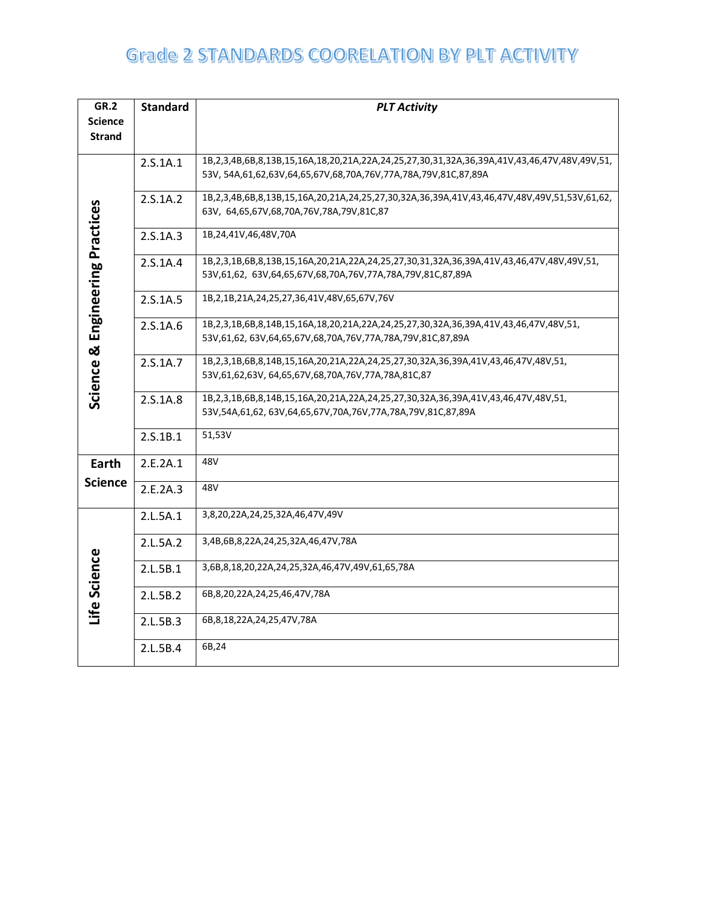| <b>GR.2</b><br><b>Science</b>   | <b>Standard</b> | <b>PLT Activity</b>                                                                                                                                                          |  |  |  |  |
|---------------------------------|-----------------|------------------------------------------------------------------------------------------------------------------------------------------------------------------------------|--|--|--|--|
| <b>Strand</b>                   |                 |                                                                                                                                                                              |  |  |  |  |
|                                 | 2.5.1A.1        | 1B,2,3,4B,6B,8,13B,15,16A,18,20,21A,22A,24,25,27,30,31,32A,36,39A,41V,43,46,47V,48V,49V,51,<br>53V, 54A, 61, 62, 63V, 64, 65, 67V, 68, 70A, 76V, 77A, 78A, 79V, 81C, 87, 89A |  |  |  |  |
|                                 | 2.S.1A.2        | 1B,2,3,4B,6B,8,13B,15,16A,20,21A,24,25,27,30,32A,36,39A,41V,43,46,47V,48V,49V,51,53V,61,62,<br>63V, 64,65,67V,68,70A,76V,78A,79V,81C,87                                      |  |  |  |  |
|                                 | 2.S.1A.3        | 1B,24,41V,46,48V,70A                                                                                                                                                         |  |  |  |  |
|                                 | 2.S.1A.4        | 1B,2,3,1B,6B,8,13B,15,16A,20,21A,22A,24,25,27,30,31,32A,36,39A,41V,43,46,47V,48V,49V,51,<br>53V,61,62, 63V,64,65,67V,68,70A,76V,77A,78A,79V,81C,87,89A                       |  |  |  |  |
|                                 | 2.S.1A.5        | 1B, 2, 1B, 21A, 24, 25, 27, 36, 41V, 48V, 65, 67V, 76V                                                                                                                       |  |  |  |  |
| Science & Engineering Practices | 2.S.1A.6        | 1B,2,3,1B,6B,8,14B,15,16A,18,20,21A,22A,24,25,27,30,32A,36,39A,41V,43,46,47V,48V,51,<br>53V,61,62, 63V,64,65,67V,68,70A,76V,77A,78A,79V,81C,87,89A                           |  |  |  |  |
|                                 | 2.S.1A.7        | 1B,2,3,1B,6B,8,14B,15,16A,20,21A,22A,24,25,27,30,32A,36,39A,41V,43,46,47V,48V,51,<br>53V,61,62,63V, 64,65,67V,68,70A,76V,77A,78A,81C,87                                      |  |  |  |  |
|                                 | 2.S.1A.8        | 1B,2,3,1B,6B,8,14B,15,16A,20,21A,22A,24,25,27,30,32A,36,39A,41V,43,46,47V,48V,51,<br>53V,54A,61,62,63V,64,65,67V,70A,76V,77A,78A,79V,81C,87,89A                              |  |  |  |  |
|                                 | 2.S.1B.1        | 51,53V                                                                                                                                                                       |  |  |  |  |
| Earth                           | 2.E.2A.1        | 48V                                                                                                                                                                          |  |  |  |  |
| <b>Science</b>                  | 2.E.2A.3        | 48V                                                                                                                                                                          |  |  |  |  |
|                                 | 2.L.5A.1        | 3,8,20,22A,24,25,32A,46,47V,49V                                                                                                                                              |  |  |  |  |
|                                 | 2.L.5A.2        | 3,4B,6B,8,22A,24,25,32A,46,47V,78A                                                                                                                                           |  |  |  |  |
| Life Science                    | 2.L.5B.1        | 3,6B,8,18,20,22A,24,25,32A,46,47V,49V,61,65,78A                                                                                                                              |  |  |  |  |
|                                 | 2.L.5B.2        | 6B, 8, 20, 22A, 24, 25, 46, 47V, 78A                                                                                                                                         |  |  |  |  |
|                                 | 2.L.5B.3        | 6B, 8, 18, 22A, 24, 25, 47V, 78A                                                                                                                                             |  |  |  |  |
|                                 | 2.L.5B.4        | 6B,24                                                                                                                                                                        |  |  |  |  |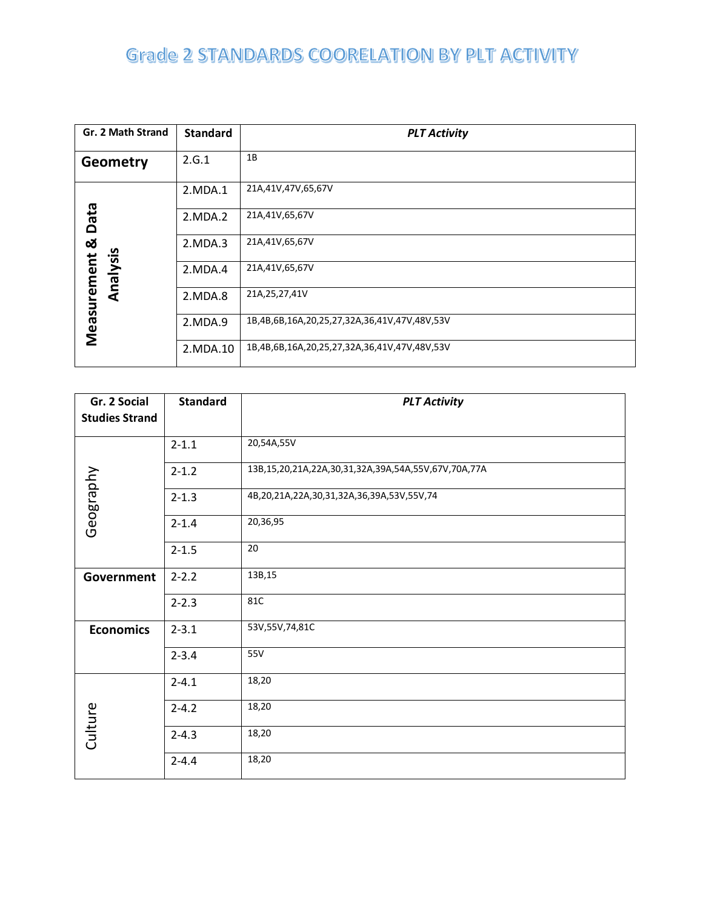| Gr. 2 Math Strand | <b>Standard</b> | <b>PLT Activity</b>                          |
|-------------------|-----------------|----------------------------------------------|
| Geometry          | 2.G.1           | 1B                                           |
|                   | 2.MDA.1         | 21A,41V,47V,65,67V                           |
| <b>Data</b>       | 2.MDA.2         | 21A,41V,65,67V                               |
| œ                 | 2.MDA.3         | 21A,41V,65,67V                               |
| Analysis          | 2.MDA.4         | 21A,41V,65,67V                               |
|                   | 2.MDA.8         | 21A, 25, 27, 41V                             |
| Measurement       | 2.MDA.9         | 1B,4B,6B,16A,20,25,27,32A,36,41V,47V,48V,53V |
|                   | 2. MDA . 10     | 1B,4B,6B,16A,20,25,27,32A,36,41V,47V,48V,53V |

| Gr. 2 Social          | <b>Standard</b> | <b>PLT Activity</b>                                 |
|-----------------------|-----------------|-----------------------------------------------------|
| <b>Studies Strand</b> |                 |                                                     |
|                       | $2 - 1.1$       | 20,54A,55V                                          |
|                       | $2 - 1.2$       | 13B,15,20,21A,22A,30,31,32A,39A,54A,55V,67V,70A,77A |
| Geography             | $2 - 1.3$       | 4B,20,21A,22A,30,31,32A,36,39A,53V,55V,74           |
|                       | $2 - 1.4$       | 20,36,95                                            |
|                       | $2 - 1.5$       | 20                                                  |
| Government            | $2 - 2.2$       | 13B,15                                              |
|                       | $2 - 2.3$       | 81C                                                 |
| <b>Economics</b>      | $2 - 3.1$       | 53V, 55V, 74, 81C                                   |
|                       | $2 - 3.4$       | 55V                                                 |
|                       | $2 - 4.1$       | 18,20                                               |
|                       | $2 - 4.2$       | 18,20                                               |
| Culture               | $2 - 4.3$       | 18,20                                               |
|                       | $2 - 4.4$       | 18,20                                               |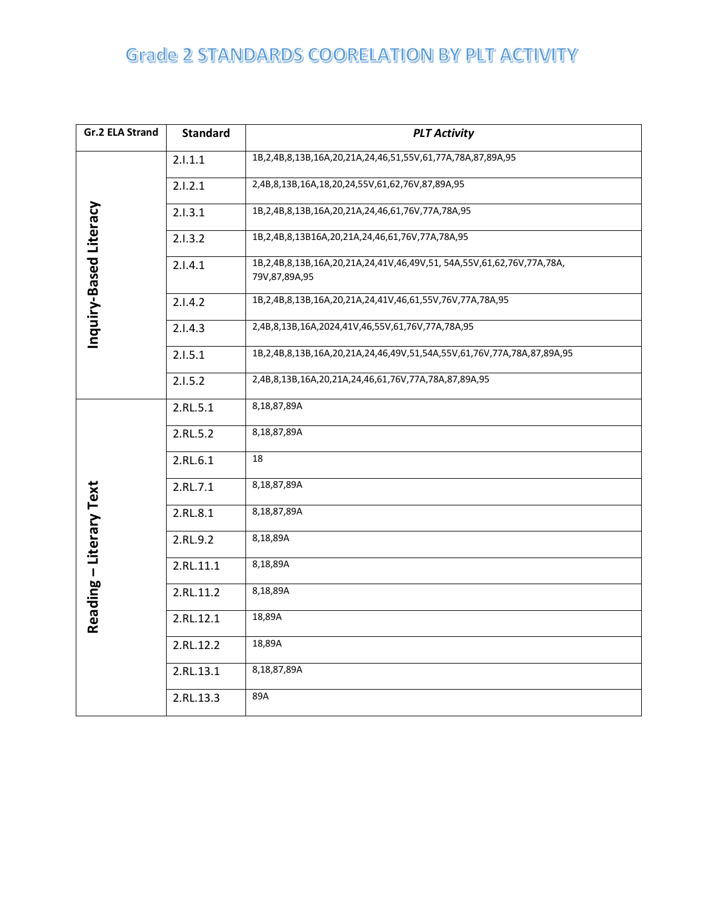| <b>Gr.2 ELA Strand</b>  | <b>Standard</b> | <b>PLT Activity</b>                                                                   |
|-------------------------|-----------------|---------------------------------------------------------------------------------------|
|                         | 2.1.1.1         | 1B, 2, 4B, 8, 13B, 16A, 20, 21A, 24, 46, 51, 55V, 61, 77A, 78A, 87, 89A, 95           |
|                         | 2.1.2.1         | 2,4B,8,13B,16A,18,20,24,55V,61,62,76V,87,89A,95                                       |
|                         | 2.1.3.1         | 1B,2,4B,8,13B,16A,20,21A,24,46,61,76V,77A,78A,95                                      |
|                         | 2.1.3.2         | 1B,2,4B,8,13B16A,20,21A,24,46,61,76V,77A,78A,95                                       |
| Inquiry-Based Literacy  | 2.1.4.1         | 1B,2,4B,8,13B,16A,20,21A,24,41V,46,49V,51,54A,55V,61,62,76V,77A,78A,<br>79V,87,89A,95 |
|                         | 2.1.4.2         | 1B, 2, 4B, 8, 13B, 16A, 20, 21A, 24, 41V, 46, 61, 55V, 76V, 77A, 78A, 95              |
|                         | 2.1.4.3         | 2,4B,8,13B,16A,2024,41V,46,55V,61,76V,77A,78A,95                                      |
|                         | 2.1.5.1         | 1B,2,4B,8,13B,16A,20,21A,24,46,49V,51,54A,55V,61,76V,77A,78A,87,89A,95                |
|                         | 2.1.5.2         | 2,4B,8,13B,16A,20,21A,24,46,61,76V,77A,78A,87,89A,95                                  |
|                         | 2.RL.5.1        | 8,18,87,89A                                                                           |
|                         | 2.RL.5.2        | 8,18,87,89A                                                                           |
|                         | 2.RL.6.1        | 18                                                                                    |
|                         | 2.RL.7.1        | 8,18,87,89A                                                                           |
|                         | 2.RL.8.1        | 8,18,87,89A                                                                           |
| Reading - Literary Text | 2.RL.9.2        | 8,18,89A                                                                              |
|                         | 2.RL.11.1       | 8,18,89A                                                                              |
|                         | 2.RL.11.2       | 8,18,89A                                                                              |
|                         | 2.RL.12.1       | 18,89A                                                                                |
|                         | 2.RL.12.2       | 18,89A                                                                                |
|                         | 2.RL.13.1       | 8,18,87,89A                                                                           |
|                         | 2.RL.13.3       | 89A                                                                                   |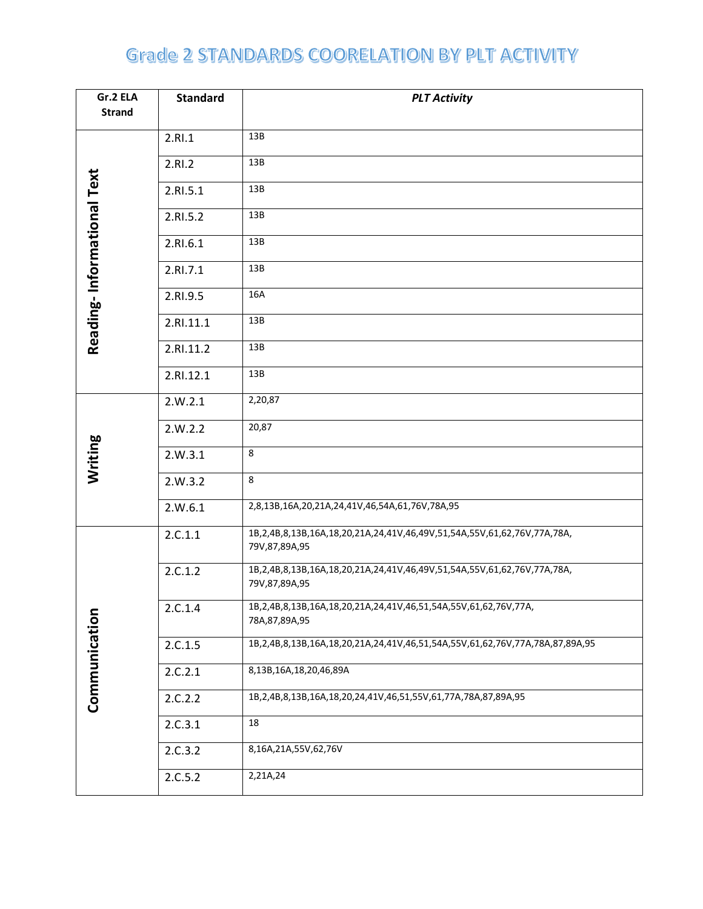| Gr.2 ELA                   | <b>Standard</b> | <b>PLT Activity</b>                                                                                |
|----------------------------|-----------------|----------------------------------------------------------------------------------------------------|
| <b>Strand</b>              |                 |                                                                                                    |
|                            | 2.RI.1          | 13B                                                                                                |
|                            | 2.RI.2          | 13B                                                                                                |
| Reading-Informational Text | 2.RI.5.1        | 13B                                                                                                |
|                            | 2.RI.5.2        | 13B                                                                                                |
|                            | 2.RI.6.1        | 13B                                                                                                |
|                            | 2.RI.7.1        | 13B                                                                                                |
|                            | 2.RI.9.5        | 16A                                                                                                |
|                            | 2.RI.11.1       | 13B                                                                                                |
|                            | 2.RI.11.2       | 13B                                                                                                |
|                            | 2.RI.12.1       | 13B                                                                                                |
|                            | 2.W.2.1         | 2,20,87                                                                                            |
|                            | 2.W.2.2         | 20,87                                                                                              |
| Writing                    | 2.W.3.1         | 8                                                                                                  |
|                            | 2.W.3.2         | 8                                                                                                  |
|                            | 2.W.6.1         | 2,8,13B,16A,20,21A,24,41V,46,54A,61,76V,78A,95                                                     |
|                            | 2.C.1.1         | 1B,2,4B,8,13B,16A,18,20,21A,24,41V,46,49V,51,54A,55V,61,62,76V,77A,78A,<br>79V,87,89A,95           |
|                            | 2.C.1.2         | 1B,2,4B,8,13B,16A,18,20,21A,24,41V,46,49V,51,54A,55V,61,62,76V,77A,78A,<br>79V,87,89A,95           |
|                            | 2.C.1.4         | 1B, 2, 4B, 8, 13B, 16A, 18, 20, 21A, 24, 41V, 46, 51, 54A, 55V, 61, 62, 76V, 77A,<br>78A,87,89A,95 |
|                            | 2.C.1.5         | 1B,2,4B,8,13B,16A,18,20,21A,24,41V,46,51,54A,55V,61,62,76V,77A,78A,87,89A,95                       |
| Communication              | 2.C.2.1         | 8,13B,16A,18,20,46,89A                                                                             |
|                            | 2.C.2.2         | 1B, 2, 4B, 8, 13B, 16A, 18, 20, 24, 41V, 46, 51, 55V, 61, 77A, 78A, 87, 89A, 95                    |
|                            | 2.C.3.1         | 18                                                                                                 |
|                            | 2.C.3.2         | 8,16A,21A,55V,62,76V                                                                               |
|                            | 2.C.5.2         | 2,21A,24                                                                                           |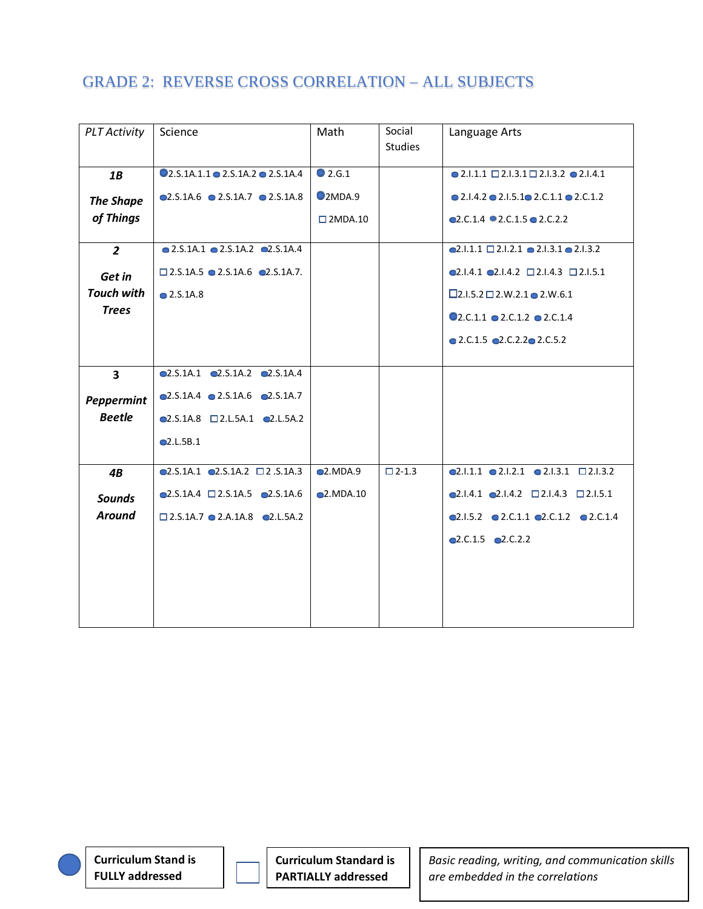| <b>PLT Activity</b>     | Science                                                   | Math              | Social<br><b>Studies</b> | Language Arts                                                           |
|-------------------------|-----------------------------------------------------------|-------------------|--------------------------|-------------------------------------------------------------------------|
|                         |                                                           |                   |                          |                                                                         |
| 1B                      | $Q_{2.S.}$ 1A.1.1 $Q_{2.S.}$ 1A.2 $Q_{2.S.}$ 1A.4         | $\bullet$ 2.G.1   |                          | $\bullet$ 2.1.1.1 $\Box$ 2.1.3.1 $\Box$ 2.1.3.2 $\bullet$ 2.1.4.1       |
| <b>The Shape</b>        | $\bullet$ 2.S.1A.6 $\bullet$ 2.S.1A.7 $\bullet$ 2.S.1A.8  | Q2MDA.9           |                          | $\bullet$ 2.1.4.2 $\bullet$ 2.1.5.1 $\bullet$ 2.C.1.1 $\bullet$ 2.C.1.2 |
| of Things               |                                                           | $\square$ 2MDA.10 |                          | $Q2.C.1.4$ $Q2.C.1.5$ $Q2.C.2.2$                                        |
| $\overline{2}$          | $\bullet$ 2.5.1A.1 $\bullet$ 2.5.1A.2 $\bullet$ 2.5.1A.4  |                   |                          | $Q2.1.1.1 \square 2.1.2.1 \square 2.1.3.1 \square 2.1.3.2$              |
|                         |                                                           |                   |                          |                                                                         |
| Get in                  | $\square$ 2.S.1A.5 $\square$ 2.S.1A.6 $\square$ 2.S.1A.7. |                   |                          | $\bullet$ 2.1.4.1 $\bullet$ 2.1.4.2 $\Box$ 2.1.4.3 $\Box$ 2.1.5.1       |
| <b>Touch with</b>       | $\bullet$ 2.S.1A.8                                        |                   |                          | $\square$ 2.1.5.2 $\square$ 2.W.2.1 $\square$ 2.W.6.1                   |
| <b>Trees</b>            |                                                           |                   |                          | $Q$ 2.C.1.1 $Q$ 2.C.1.2 $Q$ 2.C.1.4                                     |
|                         |                                                           |                   |                          | $\bullet$ 2.C.1.5 $\bullet$ 2.C.2.2 $\bullet$ 2.C.5.2                   |
|                         |                                                           |                   |                          |                                                                         |
| $\overline{\mathbf{3}}$ | $\bullet$ 2.S.1A.1 $\bullet$ 2.S.1A.2 $\bullet$ 2.S.1A.4  |                   |                          |                                                                         |
| Peppermint              | $\bullet$ 2.S.1A.4 $\bullet$ 2.S.1A.6 $\bullet$ 2.S.1A.7  |                   |                          |                                                                         |
| <b>Beetle</b>           | $\bullet$ 2.S.1A.8 $\Box$ 2.L.5A.1 $\bullet$ 2.L.5A.2     |                   |                          |                                                                         |
|                         | Q2.L.5B.1                                                 |                   |                          |                                                                         |
| 4B                      | $\bigcirc$ 2.5.1A.1 $\bigcirc$ 2.5.1A.2 $\Box$ 2.5.1A.3   | Q2.MDA.9          | $\square$ 2-1.3          | Q2.1.1.1 Q2.1.2.1 Q2.1.3.1 Q2.1.3.2                                     |
|                         |                                                           |                   |                          |                                                                         |
| <b>Sounds</b>           | $\bullet$ 2.S.1A.4 $\Box$ 2.S.1A.5 $\bullet$ 2.S.1A.6     | Q2.MDA.10         |                          | $\bullet$ 2.1.4.1 $\bullet$ 2.1.4.2 $\Box$ 2.1.4.3 $\Box$ 2.1.5.1       |
| <b>Around</b>           | $\square$ 2.S.1A.7 $\square$ 2.A.1A.8 $\square$ 2.L.5A.2  |                   |                          | $\bullet$ 2.1.5.2 $\bullet$ 2.C.1.1 $\bullet$ 2.C.1.2 $\bullet$ 2.C.1.4 |
|                         |                                                           |                   |                          | $Q2.C.1.5$ $Q2.C.2.2$                                                   |
|                         |                                                           |                   |                          |                                                                         |
|                         |                                                           |                   |                          |                                                                         |
|                         |                                                           |                   |                          |                                                                         |
|                         |                                                           |                   |                          |                                                                         |

**Curriculum Stand is FULLY addressed**

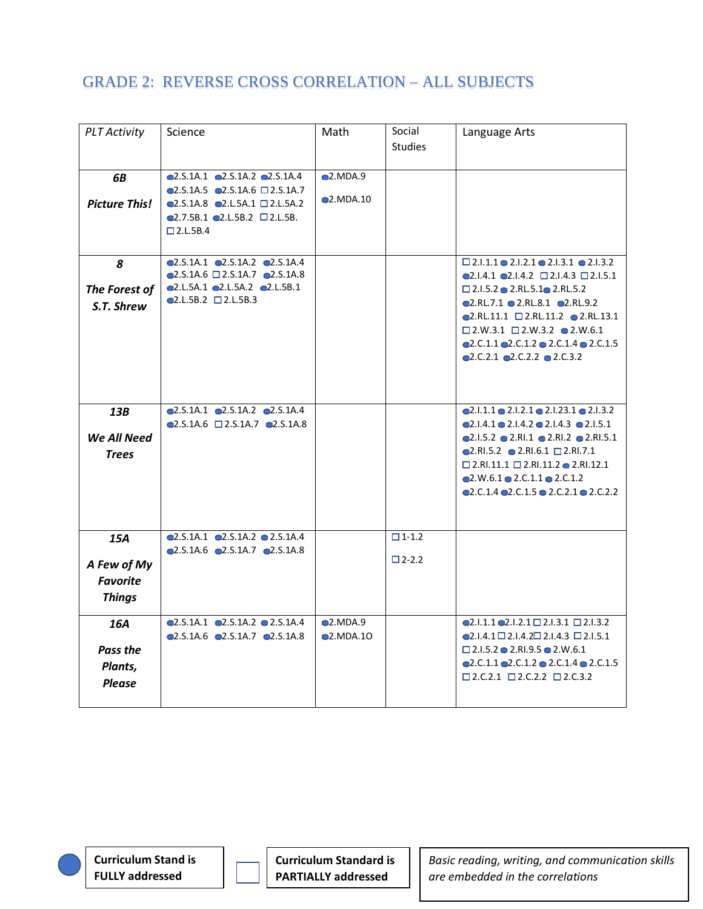| <b>PLT Activity</b>                                    | Science                                                                                                                                                                                                                         | Math                    | Social<br><b>Studies</b>        | Language Arts                                                                                                                                                                                                                                                                                                                                                                                                                        |
|--------------------------------------------------------|---------------------------------------------------------------------------------------------------------------------------------------------------------------------------------------------------------------------------------|-------------------------|---------------------------------|--------------------------------------------------------------------------------------------------------------------------------------------------------------------------------------------------------------------------------------------------------------------------------------------------------------------------------------------------------------------------------------------------------------------------------------|
| 6B<br><b>Picture This!</b>                             | Q2.S.1A.1 Q2.S.1A.2 Q2.S.1A.4<br>$\bullet$ 2.S.1A.5 $\bullet$ 2.S.1A.6 $\Box$ 2.S.1A.7<br>$\bigcirc$ 2.S.1A.8 $\bigcirc$ 2.L.5A.1 $\Box$ 2.L.5A.2<br>$\bullet$ 2.7.5B.1 $\bullet$ 2.L.5B.2 $\Box$ 2.L.5B.<br>$\square$ 2.L.5B.4 | Q2.MDA.9<br>$Q$ .MDA.10 |                                 |                                                                                                                                                                                                                                                                                                                                                                                                                                      |
| 8<br>The Forest of<br>S.T. Shrew                       | $\bullet$ 2.S.1A.1 $\bullet$ 2.S.1A.2 $\bullet$ 2.S.1A.4<br>$\bigcirc$ 2.S.1A.6 $\Box$ 2.S.1A.7 $\bigcirc$ 2.S.1A.8<br>Q2.L.5A.1 Q2.L.5A.2 Q2.L.5B.1<br>$Q2.L.5B.2$ $Q2.L.5B.3$                                                 |                         |                                 | $\square$ 2.1.1.1 $\bullet$ 2.1.2.1 $\bullet$ 2.1.3.1 $\bullet$ 2.1.3.2<br>$\bullet$ 2.1.4.1 $\bullet$ 2.1.4.2 $\Box$ 2.1.4.3 $\Box$ 2.1.5.1<br>$\square$ 2.1.5.2 $\square$ 2.RL.5.1 $\square$ 2.RL.5.2<br>Q2.RL.7.1 Q2.RL.8.1 Q2.RL.9.2<br>$\bigcirc$ 2.RL.11.1 $\Box$ 2.RL.11.2 $\bigcirc$ 2.RL.13.1<br>$\square$ 2.W.3.1 $\square$ 2.W.3.2 $\square$ 2.W.6.1<br>Q2.C.1.1 Q2.C.1.2 Q2.C.1.4 Q2.C.1.5<br>Q2.C.2.1 Q2.C.2.2 Q2.C.3.2 |
| 13B<br>We All Need<br><b>Trees</b>                     | $\bullet$ 2.S.1A.1 $\bullet$ 2.S.1A.2 $\bullet$ 2.S.1A.4<br>$\bigcirc$ 2.S.1A.6 $\bigcirc$ 2.S.1A.7 $\bigcirc$ 2.S.1A.8                                                                                                         |                         |                                 | $Q2.1.1.1 \tQ2.1.2.1 \tQ2.1.23.1 \tQ2.1.3.2$<br>Q2.1.4.1 Q2.1.4.2 Q2.1.4.3 Q2.1.5.1<br>Q2.I.5.2 Q2.RI.1 Q2.RI.2 Q2.RI.5.1<br>$\bullet$ 2.RI.5.2 $\bullet$ 2.RI.6.1 $\Box$ 2.RI.7.1<br>$\square$ 2.RI.11.1 $\square$ 2.RI.11.2 $\bullet$ 2.RI.12.1<br>$\bullet$ 2.W.6.1 $\bullet$ 2.C.1.1 $\bullet$ 2.C.1.2<br>Q2.C.1.4 Q2.C.1.5 Q2.C.2.1 Q2.C.2.2                                                                                    |
| 15A<br>A Few of My<br><b>Favorite</b><br><b>Things</b> | Q2.S.1A.1 Q2.S.1A.2 Q2.S.1A.4<br>$\bigcirc$ 2.5.1A.6 $\bigcirc$ 2.5.1A.7 $\bigcirc$ 2.5.1A.8                                                                                                                                    |                         | $\Box$ 1-1.2<br>$\square$ 2-2.2 |                                                                                                                                                                                                                                                                                                                                                                                                                                      |
| 16A<br>Pass the<br>Plants,<br><b>Please</b>            | $\bullet$ 2.S.1A.1 $\bullet$ 2.S.1A.2 $\bullet$ 2.S.1A.4<br>$\bullet$ 2.S.1A.6 $\bullet$ 2.S.1A.7 $\bullet$ 2.S.1A.8                                                                                                            | Q.MDA.9<br>Q.MDA.10     |                                 | $Q.1.1.1 Q.1.2.1 \square 2.1.3.1 \square 2.1.3.2$<br>$\bigcirc$ 2.1.4.1 $\bigcirc$ 2.1.4.2 $\bigcirc$ 2.1.4.3 $\bigcirc$ 2.1.5.1<br>$\Box$ 2.1.5.2 $\bigcirc$ 2.RI.9.5 $\bigcirc$ 2.W.6.1<br>$\bullet$ 2.C.1.1 $\bullet$ 2.C.1.2 $\bullet$ 2.C.1.4 $\bullet$ 2.C.1.5<br>$\Box$ 2.C.2.1 $\Box$ 2.C.2.2 $\Box$ 2.C.3.2                                                                                                                 |

**Curriculum Stand is FULLY addressed**

**Curriculum Standard is PARTIALLY addressed**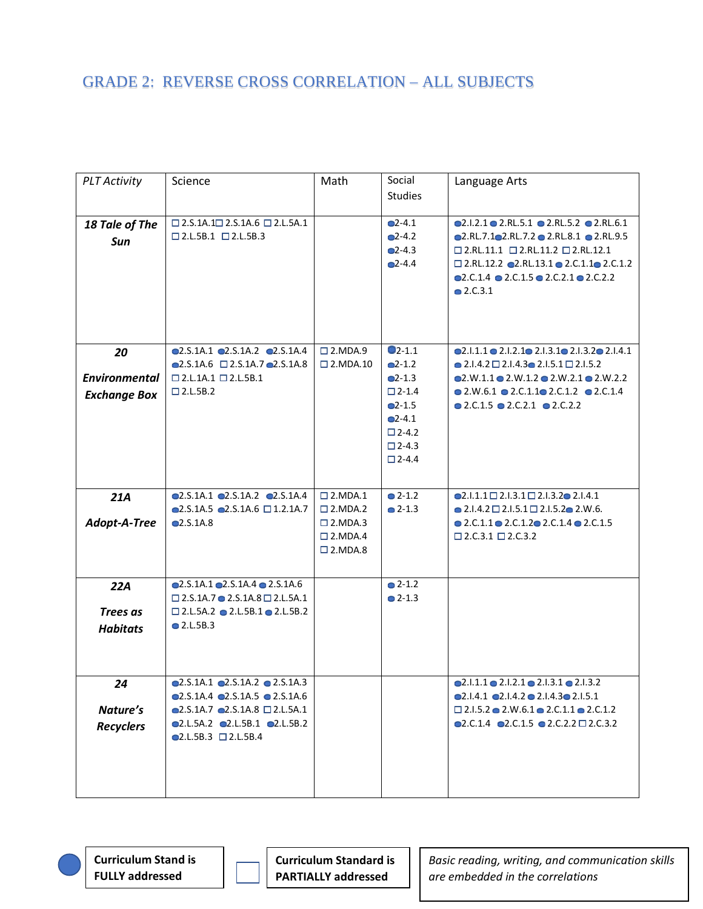| <b>PLT Activity</b>                               | Science                                                                                                                                                                                                             | Math                                                                                    | Social<br><b>Studies</b>                                                                                                          | Language Arts                                                                                                                                                                                                                                                                                                                 |
|---------------------------------------------------|---------------------------------------------------------------------------------------------------------------------------------------------------------------------------------------------------------------------|-----------------------------------------------------------------------------------------|-----------------------------------------------------------------------------------------------------------------------------------|-------------------------------------------------------------------------------------------------------------------------------------------------------------------------------------------------------------------------------------------------------------------------------------------------------------------------------|
| 18 Tale of The<br>Sun                             | $\square$ 2.S.1A.1 $\square$ 2.S.1A.6 $\square$ 2.L.5A.1<br>$\square$ 2.L.5B.1 $\square$ 2.L.5B.3                                                                                                                   |                                                                                         | $Q-4.1$<br>$Q - 4.2$<br>$Q - 4.3$<br>$Q - 4.4$                                                                                    | $Q2.I.2.1 Q2.RL.5.1 Q2.RL.5.2 Q2.RL.6.1$<br>Q.RL.7.1Q2.RL.7.2Q2.RL.8.1Q2.RL.9.5<br>$\square$ 2.RL.11.1 $\square$ 2.RL.11.2 $\square$ 2.RL.12.1<br>$\square$ 2.RL.12.2 $\square$ 2.RL.13.1 $\square$ 2.C.1.1 $\square$ 2.C.1.2<br>$\bullet$ 2.C.1.4 $\bullet$ 2.C.1.5 $\bullet$ 2.C.2.1 $\bullet$ 2.C.2.2<br>$\bullet$ 2.C.3.1 |
| 20<br><b>Environmental</b><br><b>Exchange Box</b> | $\bullet$ 2.S.1A.1 $\bullet$ 2.S.1A.2 $\bullet$ 2.S.1A.4<br>$\bullet$ 2.S.1A.6 $\Box$ 2.S.1A.7 $\bullet$ 2.S.1A.8<br>$\square$ 2.L.1A.1 $\square$ 2.L.5B.1<br>$\square$ 2.L.5B.2                                    | $\square$ 2. MDA. 9<br>$\square$ 2. MDA. 10                                             | $Q_{2-1.1}$<br>$Q-1.2$<br>$Q$ -1.3<br>$\square$ 2-1.4<br>$Q-1.5$<br>$Q-4.1$<br>$\square$ 2-4.2<br>$\square$ 2-4.3<br>$\Box$ 2-4.4 | $Q2.1.1.1 Q2.1.2.1 Q2.1.3.1 Q2.1.3.2 Q2.1.4.1$<br>$\bullet$ 2.1.4.2 $\Box$ 2.1.4.3 $\bullet$ 2.1.5.1 $\Box$ 2.1.5.2<br>Q2.W.1.1 Q2.W.1.2 Q2.W.2.1 Q2.W.2.2<br>$\bullet$ 2.W.6.1 $\bullet$ 2.C.1.1 $\bullet$ 2.C.1.2 $\bullet$ 2.C.1.4<br>$\bullet$ 2.C.1.5 $\bullet$ 2.C.2.1 $\bullet$ 2.C.2.2                                |
| 21A                                               | Q2.S.1A.1 Q2.S.1A.2 Q2.S.1A.4                                                                                                                                                                                       | $\square$ 2. MDA. 1                                                                     | $Q - 1.2$                                                                                                                         | $Q2.1.1.1 \square 2.1.3.1 \square 2.1.3.2 \square 2.1.4.1$                                                                                                                                                                                                                                                                    |
| Adopt-A-Tree                                      | $\bigcirc$ 2.S.1A.5 $\bigcirc$ 2.S.1A.6 $\Box$ 1.2.1A.7<br>Q.5.1A.8                                                                                                                                                 | $\square$ 2. MDA. 2<br>$\square$ 2. MDA. 3<br>$\square$ 2. MDA. 4<br>$\square$ 2. MDA.8 | $Q$ 2-1.3                                                                                                                         | $\bullet$ 2.1.4.2 $\Box$ 2.1.5.1 $\Box$ 2.1.5.2 $\bullet$ 2.W.6.<br>$\bullet$ 2.C.1.1 $\bullet$ 2.C.1.2 $\bullet$ 2.C.1.4 $\bullet$ 2.C.1.5<br>$\square$ 2.C.3.1 $\square$ 2.C.3.2                                                                                                                                            |
| 22A<br><b>Trees as</b><br><b>Habitats</b>         | Q2.S.1A.1Q2.S.1A.4Q2.S.1A.6<br>$\square$ 2.S.1A.7 $\bullet$ 2.S.1A.8 $\square$ 2.L.5A.1<br>$\Box$ 2.L.5A.2 $\bigcirc$ 2.L.5B.1 $\bigcirc$ 2.L.5B.2<br>$\bullet$ 2.L.5B.3                                            |                                                                                         | $Q - 1.2$<br>$\bullet$ 2-1.3                                                                                                      |                                                                                                                                                                                                                                                                                                                               |
| 24<br>Nature's<br><b>Recyclers</b>                | $\bullet$ 2.S.1A.1 $\bullet$ 2.S.1A.2 $\bullet$ 2.S.1A.3<br>Q2.S.1A.4 Q2.S.1A.5 Q2.S.1A.6<br>$\bullet$ 2.S.1A.7 $\bullet$ 2.S.1A.8 $\Box$ 2.L.5A.1<br>Q2.L.5A.2 Q2.L.5B.1 Q2.L.5B.2<br>$Q2.L.5B.3 \square 2.L.5B.4$ |                                                                                         |                                                                                                                                   | $Q.1.1.1 \odot 2.1.2.1 \odot 2.1.3.1 \odot 2.1.3.2$<br>Q2.1.4.1 Q2.1.4.2 Q2.1.4.3 Q2.1.5.1<br>$\Box$ 2.1.5.2 $\bullet$ 2.W.6.1 $\bullet$ 2.C.1.1 $\bullet$ 2.C.1.2<br>$\bullet$ 2.C.1.4 $\bullet$ 2.C.1.5 $\bullet$ 2.C.2.2 $\Box$ 2.C.3.2                                                                                    |

**Curriculum Stand is FULLY addressed**

**Curriculum Standard is PARTIALLY addressed**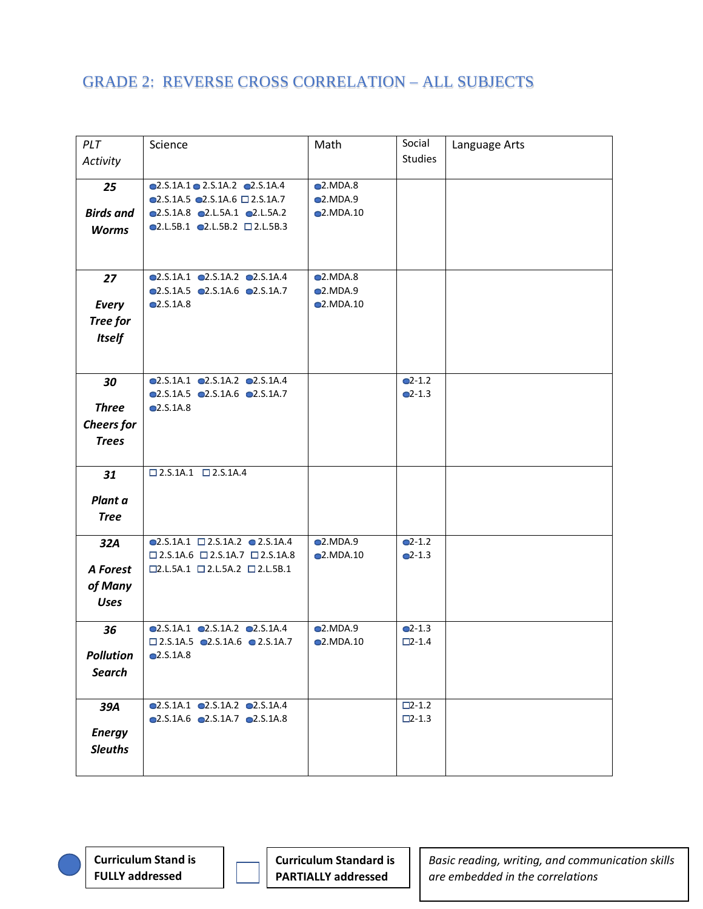| PLT               | Science                                                                                                           | Math                 | Social             | Language Arts |
|-------------------|-------------------------------------------------------------------------------------------------------------------|----------------------|--------------------|---------------|
| Activity          |                                                                                                                   |                      | <b>Studies</b>     |               |
|                   |                                                                                                                   |                      |                    |               |
| 25                | $\bullet$ 2.S.1A.1 $\bullet$ 2.S.1A.2 $\bullet$ 2.S.1A.4                                                          | Q2.MDA.8             |                    |               |
|                   | $\bullet$ 2.S.1A.5 $\bullet$ 2.S.1A.6 $\Box$ 2.S.1A.7                                                             | Q2.MDA.9             |                    |               |
| <b>Birds and</b>  | $\bullet$ 2.S.1A.8 $\bullet$ 2.L.5A.1 $\bullet$ 2.L.5A.2                                                          | Q.MDA.10             |                    |               |
| <b>Worms</b>      | $\bullet$ 2.L.5B.1 $\bullet$ 2.L.5B.2 $\Box$ 2.L.5B.3                                                             |                      |                    |               |
|                   |                                                                                                                   |                      |                    |               |
|                   |                                                                                                                   |                      |                    |               |
| 27                | Q2.S.1A.1 Q2.S.1A.2 Q2.S.1A.4                                                                                     | Q2.MDA.8             |                    |               |
|                   | $\bullet$ 2.S.1A.5 $\bullet$ 2.S.1A.6 $\bullet$ 2.S.1A.7                                                          | Q2.MDA.9             |                    |               |
| Every             | Q.5.1A.8                                                                                                          | $Q$ .MDA.10          |                    |               |
| Tree for          |                                                                                                                   |                      |                    |               |
| <b>Itself</b>     |                                                                                                                   |                      |                    |               |
|                   |                                                                                                                   |                      |                    |               |
|                   |                                                                                                                   |                      |                    |               |
| 30                | $\bullet$ 2.S.1A.1 $\bullet$ 2.S.1A.2 $\bullet$ 2.S.1A.4                                                          |                      | $Q-1.2$            |               |
|                   | $\bullet$ 2.S.1A.5 $\bullet$ 2.S.1A.6 $\bullet$ 2.S.1A.7                                                          |                      | $Q-1.3$            |               |
| <b>Three</b>      | Q. S. 1A.8                                                                                                        |                      |                    |               |
| <b>Cheers</b> for |                                                                                                                   |                      |                    |               |
| <b>Trees</b>      |                                                                                                                   |                      |                    |               |
|                   |                                                                                                                   |                      |                    |               |
| 31                | $\square$ 2.S.1A.1 $\square$ 2.S.1A.4                                                                             |                      |                    |               |
|                   |                                                                                                                   |                      |                    |               |
| Plant a           |                                                                                                                   |                      |                    |               |
| <b>Tree</b>       |                                                                                                                   |                      |                    |               |
|                   |                                                                                                                   |                      |                    |               |
| 32A               | $\bullet$ 2.S.1A.1 $\Box$ 2.S.1A.2 $\bullet$ 2.S.1A.4<br>$\square$ 2.S.1A.6 $\square$ 2.S.1A.7 $\square$ 2.S.1A.8 | Q2.MDA.9<br>Q.MDA.10 | $Q-1.2$<br>$Q-1.3$ |               |
| A Forest          | $\square$ 2.L.5A.1 $\square$ 2.L.5A.2 $\square$ 2.L.5B.1                                                          |                      |                    |               |
|                   |                                                                                                                   |                      |                    |               |
| of Many           |                                                                                                                   |                      |                    |               |
| <b>Uses</b>       |                                                                                                                   |                      |                    |               |
| 36                | $\bullet$ 2.S.1A.1 $\bullet$ 2.S.1A.2 $\bullet$ 2.S.1A.4                                                          | Q2.MDA.9             | $Q-1.3$            |               |
|                   | $\square$ 2.S.1A.5 $\square$ 2.S.1A.6 $\square$ 2.S.1A.7                                                          | Q.MDA.10             | $\square$ 2-1.4    |               |
| <b>Pollution</b>  | Q.S.1A.8                                                                                                          |                      |                    |               |
| <b>Search</b>     |                                                                                                                   |                      |                    |               |
|                   |                                                                                                                   |                      |                    |               |
| 39A               | $\bullet$ 2.S.1A.1 $\bullet$ 2.S.1A.2 $\bullet$ 2.S.1A.4                                                          |                      | $\square$ 2-1.2    |               |
|                   | $\bullet$ 2.S.1A.6 $\bullet$ 2.S.1A.7 $\bullet$ 2.S.1A.8                                                          |                      | $\square$ 2-1.3    |               |
| <b>Energy</b>     |                                                                                                                   |                      |                    |               |
| <b>Sleuths</b>    |                                                                                                                   |                      |                    |               |
|                   |                                                                                                                   |                      |                    |               |
|                   |                                                                                                                   |                      |                    |               |

**Curriculum Stand is FULLY addressed**

**Curriculum Standard is PARTIALLY addressed**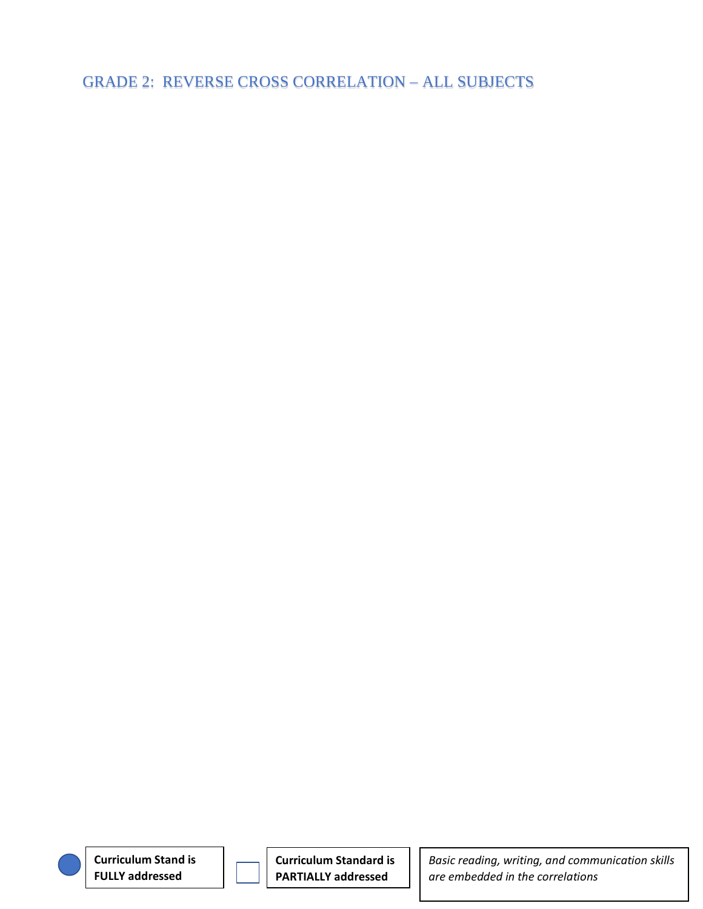**Curriculum Stand is FULLY addressed**

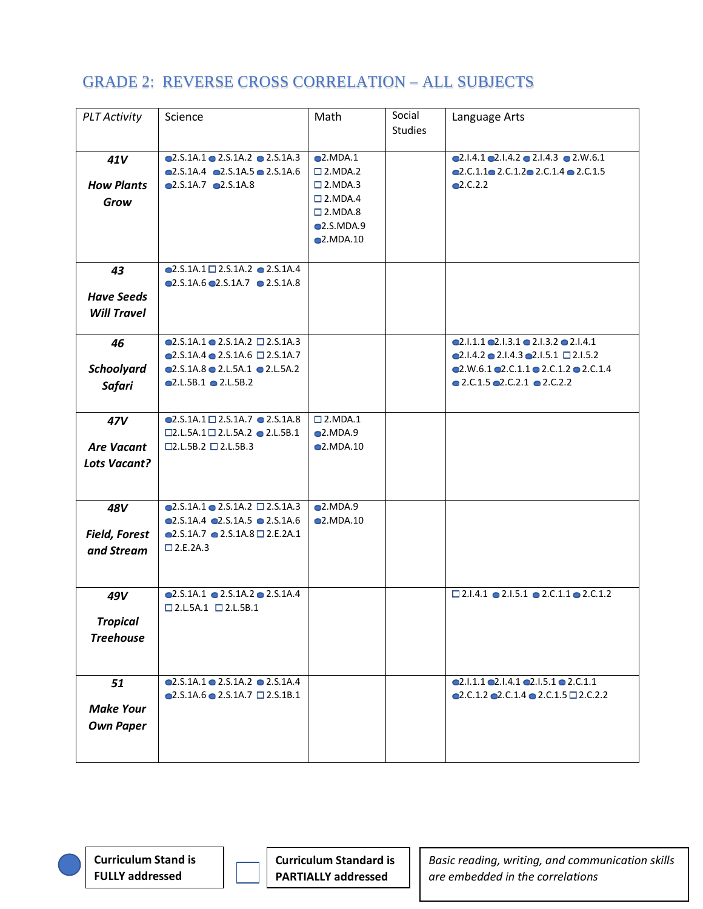| <b>PLT Activity</b>  | Science                                                    | Math                | Social         | Language Arts                                                           |
|----------------------|------------------------------------------------------------|---------------------|----------------|-------------------------------------------------------------------------|
|                      |                                                            |                     | <b>Studies</b> |                                                                         |
|                      |                                                            |                     |                |                                                                         |
| 41V                  | $\bullet$ 2.S.1A.1 $\bullet$ 2.S.1A.2 $\bullet$ 2.S.1A.3   | Q2.MDA.1            |                | Q.1.4.1 Q.1.4.2 Q.1.4.3 Q.2.06.1                                        |
|                      | $\bullet$ 2.S.1A.4 $\bullet$ 2.S.1A.5 $\bullet$ 2.S.1A.6   | $\square$ 2. MDA. 2 |                | Q2.C.1.1Q2.C.1.2Q2.C.1.4Q2.C.1.5                                        |
| <b>How Plants</b>    | Q2.S.1A.7Q2.S.1A.8                                         | $\square$ 2. MDA. 3 |                | Q2.C.2.2                                                                |
|                      |                                                            | $\square$ 2. MDA. 4 |                |                                                                         |
| Grow                 |                                                            | $\square$ 2. MDA.8  |                |                                                                         |
|                      |                                                            | <b>2.S.MDA.9</b>    |                |                                                                         |
|                      |                                                            | $\bullet$ 2.MDA.10  |                |                                                                         |
|                      |                                                            |                     |                |                                                                         |
|                      |                                                            |                     |                |                                                                         |
| 43                   | $\bigcirc$ 2.S.1A.1 $\square$ 2.S.1A.2 $\bigcirc$ 2.S.1A.4 |                     |                |                                                                         |
|                      | $\odot$ 2.S.1A.6 $\odot$ 2.S.1A.7 $\odot$ 2.S.1A.8         |                     |                |                                                                         |
| <b>Have Seeds</b>    |                                                            |                     |                |                                                                         |
| <b>Will Travel</b>   |                                                            |                     |                |                                                                         |
|                      |                                                            |                     |                |                                                                         |
| 46                   | $\bullet$ 2.S.1A.1 $\bullet$ 2.S.1A.2 $\Box$ 2.S.1A.3      |                     |                | Q2.1.1.1 Q2.1.3.1 Q2.1.3.2 Q2.1.4.1                                     |
|                      | $\bullet$ 2.S.1A.4 $\bullet$ 2.S.1A.6 $\Box$ 2.S.1A.7      |                     |                | $Q2.1.4.2 \t Q2.1.4.3 \t Q2.1.5.1 \square 2.1.5.2$                      |
| <b>Schoolyard</b>    | Q2.S.1A.8 Q2.L.5A.1 Q2.L.5A.2                              |                     |                | Q2.W.6.1 Q2.C.1.1 Q2.C.1.2 Q2.C.1.4                                     |
| <b>Safari</b>        | $Q.L.5B.1$ $Q.L.5B.2$                                      |                     |                | $\bullet$ 2.C.1.5 $\bullet$ 2.C.2.1 $\bullet$ 2.C.2.2                   |
|                      |                                                            |                     |                |                                                                         |
|                      |                                                            |                     |                |                                                                         |
| 47V                  | $\bigcirc$ 2.S.1A.1 $\square$ 2.S.1A.7 $\bigcirc$ 2.S.1A.8 | $\square$ 2. MDA. 1 |                |                                                                         |
|                      | $\square$ 2.L.5A.1 $\square$ 2.L.5A.2 $\bullet$ 2.L.5B.1   | Q. MDA.9            |                |                                                                         |
| <b>Are Vacant</b>    | $\square$ 2.L.5B.2 $\square$ 2.L.5B.3                      | $\bullet$ 2.MDA.10  |                |                                                                         |
| Lots Vacant?         |                                                            |                     |                |                                                                         |
|                      |                                                            |                     |                |                                                                         |
|                      |                                                            |                     |                |                                                                         |
| 48V                  | $\bullet$ 2.S.1A.1 $\bullet$ 2.S.1A.2 $\Box$ 2.S.1A.3      | Q2.MDA.9            |                |                                                                         |
|                      | $\bullet$ 2.S.1A.4 $\bullet$ 2.S.1A.5 $\bullet$ 2.S.1A.6   | Q2.MDA.10           |                |                                                                         |
| <b>Field, Forest</b> | $Q. S. 1A.7 Q. 2. S. 1A.8 \square 2. E. 2A.1$              |                     |                |                                                                         |
|                      | $\square$ 2.E.2A.3                                         |                     |                |                                                                         |
| and Stream           |                                                            |                     |                |                                                                         |
|                      |                                                            |                     |                |                                                                         |
|                      |                                                            |                     |                |                                                                         |
| 49V                  | $\bullet$ 2.S.1A.1 $\bullet$ 2.S.1A.2 $\bullet$ 2.S.1A.4   |                     |                | $\square$ 2.1.4.1 $\bullet$ 2.1.5.1 $\bullet$ 2.C.1.1 $\bullet$ 2.C.1.2 |
|                      | $\square$ 2.L.5A.1 $\square$ 2.L.5B.1                      |                     |                |                                                                         |
| <b>Tropical</b>      |                                                            |                     |                |                                                                         |
| <b>Treehouse</b>     |                                                            |                     |                |                                                                         |
|                      |                                                            |                     |                |                                                                         |
|                      |                                                            |                     |                |                                                                         |
| 51                   | $\odot$ 2.S.1A.1 $\odot$ 2.S.1A.2 $\odot$ 2.S.1A.4         |                     |                | Q2.1.1.1 Q2.1.4.1 Q2.1.5.1 Q2.0.1.1                                     |
|                      | $\bullet$ 2.S.1A.6 $\bullet$ 2.S.1A.7 $\Box$ 2.S.1B.1      |                     |                | Q2.C.1.2 Q2.C.1.4 Q2.C.1.5 Q2.C.2.2                                     |
| <b>Make Your</b>     |                                                            |                     |                |                                                                         |
|                      |                                                            |                     |                |                                                                         |
| <b>Own Paper</b>     |                                                            |                     |                |                                                                         |
|                      |                                                            |                     |                |                                                                         |
|                      |                                                            |                     |                |                                                                         |

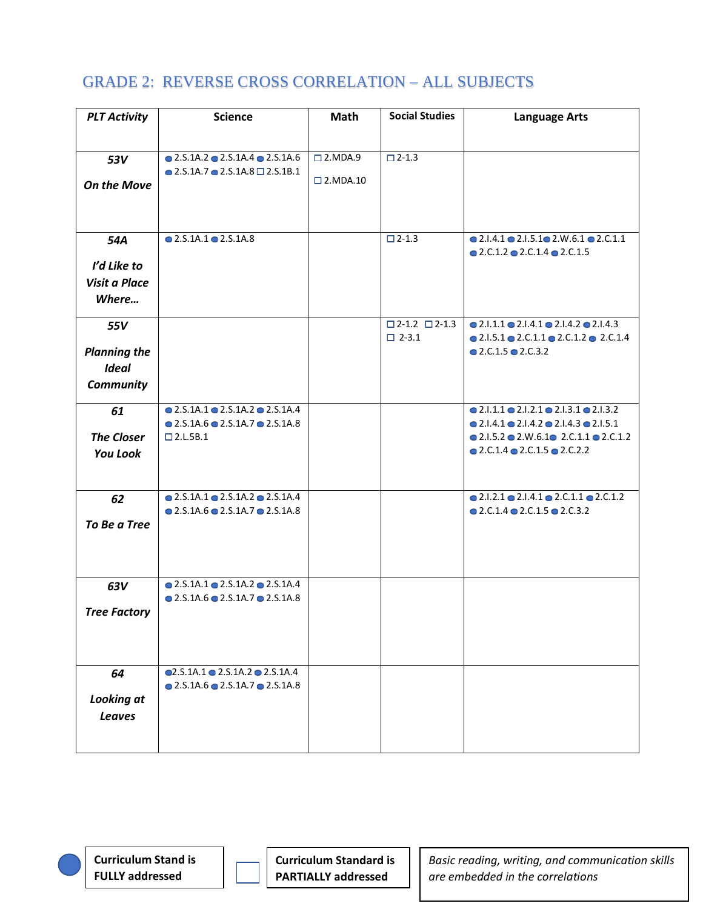| <b>PLT Activity</b>  | <b>Science</b>                                           | Math                 | <b>Social Studies</b>           | <b>Language Arts</b>                                                    |
|----------------------|----------------------------------------------------------|----------------------|---------------------------------|-------------------------------------------------------------------------|
|                      |                                                          |                      |                                 |                                                                         |
|                      |                                                          |                      |                                 |                                                                         |
| 53V                  | $\bullet$ 2.S.1A.2 $\bullet$ 2.S.1A.4 $\bullet$ 2.S.1A.6 | $\square$ 2. MDA. 9  | $\square$ 2-1.3                 |                                                                         |
|                      | $\bullet$ 2.S.1A.7 $\bullet$ 2.S.1A.8 $\Box$ 2.S.1B.1    | $\square$ 2. MDA. 10 |                                 |                                                                         |
| <b>On the Move</b>   |                                                          |                      |                                 |                                                                         |
|                      |                                                          |                      |                                 |                                                                         |
|                      |                                                          |                      |                                 |                                                                         |
| 54A                  | $\bullet$ 2.S.1A.1 $\bullet$ 2.S.1A.8                    |                      | $\square$ 2-1.3                 | $\bullet$ 2.1.4.1 $\bullet$ 2.1.5.1 $\bullet$ 2.W.6.1 $\bullet$ 2.C.1.1 |
|                      |                                                          |                      |                                 | $\bullet$ 2.C.1.2 $\bullet$ 2.C.1.4 $\bullet$ 2.C.1.5                   |
| I'd Like to          |                                                          |                      |                                 |                                                                         |
| <b>Visit a Place</b> |                                                          |                      |                                 |                                                                         |
|                      |                                                          |                      |                                 |                                                                         |
| Where                |                                                          |                      |                                 |                                                                         |
| 55V                  |                                                          |                      | $\square$ 2-1.2 $\square$ 2-1.3 | $\bullet$ 2.1.1.1 $\bullet$ 2.1.4.1 $\bullet$ 2.1.4.2 $\bullet$ 2.1.4.3 |
|                      |                                                          |                      | $\Box$ 2-3.1                    | $\bullet$ 2.1.5.1 $\bullet$ 2.C.1.1 $\bullet$ 2.C.1.2 $\bullet$ 2.C.1.4 |
| <b>Planning the</b>  |                                                          |                      |                                 | $\bullet$ 2.C.1.5 $\bullet$ 2.C.3.2                                     |
| <b>Ideal</b>         |                                                          |                      |                                 |                                                                         |
|                      |                                                          |                      |                                 |                                                                         |
| <b>Community</b>     |                                                          |                      |                                 |                                                                         |
| 61                   | $\bullet$ 2.S.1A.1 $\bullet$ 2.S.1A.2 $\bullet$ 2.S.1A.4 |                      |                                 | $\bullet$ 2.1.1.1 $\bullet$ 2.1.2.1 $\bullet$ 2.1.3.1 $\bullet$ 2.1.3.2 |
|                      | $\bullet$ 2.S.1A.6 $\bullet$ 2.S.1A.7 $\bullet$ 2.S.1A.8 |                      |                                 | $\bullet$ 2.1.4.1 $\bullet$ 2.1.4.2 $\bullet$ 2.1.4.3 $\bullet$ 2.1.5.1 |
| <b>The Closer</b>    | $\square$ 2.L.5B.1                                       |                      |                                 | $\bullet$ 2.1.5.2 $\bullet$ 2.W.6.1 $\bullet$ 2.C.1.1 $\bullet$ 2.C.1.2 |
| <b>You Look</b>      |                                                          |                      |                                 | $\bullet$ 2.C.1.4 $\bullet$ 2.C.1.5 $\bullet$ 2.C.2.2                   |
|                      |                                                          |                      |                                 |                                                                         |
|                      |                                                          |                      |                                 |                                                                         |
| 62                   | $\bullet$ 2.S.1A.1 $\bullet$ 2.S.1A.2 $\bullet$ 2.S.1A.4 |                      |                                 | $\bullet$ 2.1.2.1 $\bullet$ 2.1.4.1 $\bullet$ 2.C.1.1 $\bullet$ 2.C.1.2 |
|                      | $\bullet$ 2.5.1A.6 $\bullet$ 2.5.1A.7 $\bullet$ 2.5.1A.8 |                      |                                 | $\bullet$ 2.C.1.4 $\bullet$ 2.C.1.5 $\bullet$ 2.C.3.2                   |
| To Be a Tree         |                                                          |                      |                                 |                                                                         |
|                      |                                                          |                      |                                 |                                                                         |
|                      |                                                          |                      |                                 |                                                                         |
|                      |                                                          |                      |                                 |                                                                         |
| 63V                  | $\bullet$ 2.5.1A.1 $\bullet$ 2.5.1A.2 $\bullet$ 2.5.1A.4 |                      |                                 |                                                                         |
|                      | $\bullet$ 2.5.1A.6 $\bullet$ 2.5.1A.7 $\bullet$ 2.5.1A.8 |                      |                                 |                                                                         |
| <b>Tree Factory</b>  |                                                          |                      |                                 |                                                                         |
|                      |                                                          |                      |                                 |                                                                         |
|                      |                                                          |                      |                                 |                                                                         |
|                      |                                                          |                      |                                 |                                                                         |
|                      | $Q. S. 1A.1 Q. 2. S. 1A.2 Q. 2. S. 1A.4$                 |                      |                                 |                                                                         |
| 64                   | $\bullet$ 2.S.1A.6 $\bullet$ 2.S.1A.7 $\bullet$ 2.S.1A.8 |                      |                                 |                                                                         |
| <b>Looking at</b>    |                                                          |                      |                                 |                                                                         |
|                      |                                                          |                      |                                 |                                                                         |
| <b>Leaves</b>        |                                                          |                      |                                 |                                                                         |
|                      |                                                          |                      |                                 |                                                                         |
|                      |                                                          |                      |                                 |                                                                         |

**Curriculum Stand is FULLY addressed**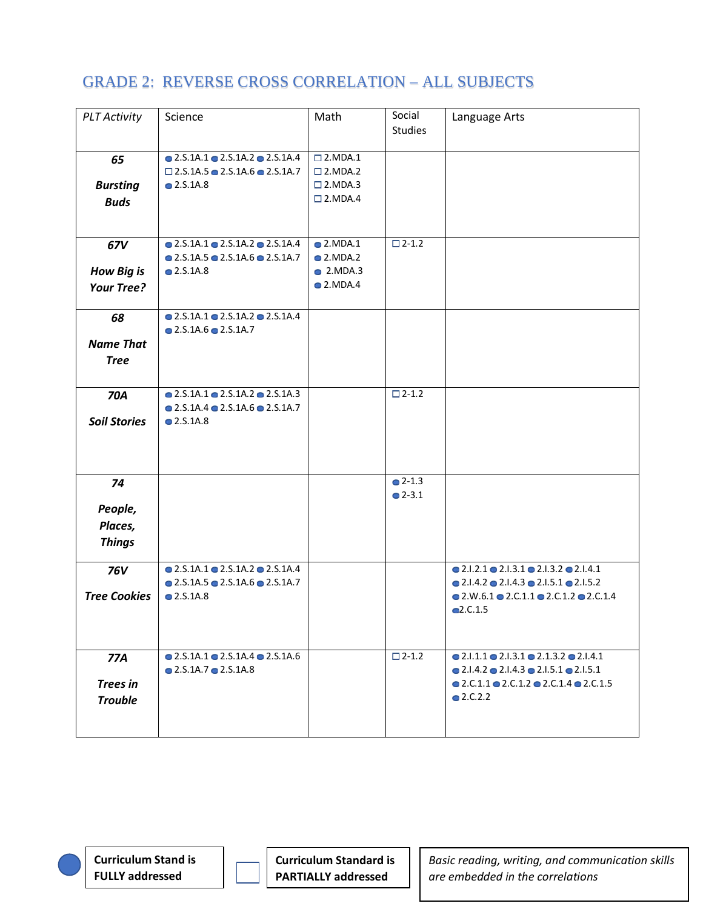| <b>PLT Activity</b>                             | Science                                                                                                                                    | Math                                                                                     | Social<br><b>Studies</b>      | Language Arts                                                                                                                                                                                                                                |
|-------------------------------------------------|--------------------------------------------------------------------------------------------------------------------------------------------|------------------------------------------------------------------------------------------|-------------------------------|----------------------------------------------------------------------------------------------------------------------------------------------------------------------------------------------------------------------------------------------|
| 65<br><b>Bursting</b><br><b>Buds</b>            | $\bullet$ 2.S.1A.1 $\bullet$ 2.S.1A.2 $\bullet$ 2.S.1A.4<br>$\Box$ 2.S.1A.5 $\bullet$ 2.S.1A.6 $\bullet$ 2.S.1A.7<br>$\bullet$ 2.S.1A.8    | $\square$ 2. MDA. 1<br>$\square$ 2. MDA. 2<br>$\square$ 2. MDA. 3<br>$\square$ 2. MDA. 4 |                               |                                                                                                                                                                                                                                              |
| 67V<br><b>How Big is</b><br><b>Your Tree?</b>   | $\bullet$ 2.S.1A.1 $\bullet$ 2.S.1A.2 $\bullet$ 2.S.1A.4<br>$\bullet$ 2.5.1A.5 $\bullet$ 2.S.1A.6 $\bullet$ 2.S.1A.7<br>$\bullet$ 2.S.1A.8 | $\bullet$ 2.MDA.1<br>$\bullet$ 2.MDA.2<br>$\bullet$ 2.MDA.3<br>$\bullet$ 2.MDA.4         | $\square$ 2-1.2               |                                                                                                                                                                                                                                              |
| 68<br><b>Name That</b><br><b>Tree</b>           | $\bullet$ 2.S.1A.1 $\bullet$ 2.S.1A.2 $\bullet$ 2.S.1A.4<br>$\bullet$ 2.S.1A.6 $\bullet$ 2.S.1A.7                                          |                                                                                          |                               |                                                                                                                                                                                                                                              |
| <b>70A</b><br><b>Soil Stories</b>               | $\bullet$ 2.S.1A.1 $\bullet$ 2.S.1A.2 $\bullet$ 2.S.1A.3<br>$\bullet$ 2.5.1A.4 $\bullet$ 2.5.1A.6 $\bullet$ 2.5.1A.7<br>$\bullet$ 2.S.1A.8 |                                                                                          | $\square$ 2-1.2               |                                                                                                                                                                                                                                              |
| 74<br>People,<br>Places,<br><b>Things</b>       |                                                                                                                                            |                                                                                          | $^{\circ}$ 2-1.3<br>$Q$ 2-3.1 |                                                                                                                                                                                                                                              |
| <b>76V</b><br><b>Tree Cookies</b>               | $\bullet$ 2.S.1A.1 $\bullet$ 2.S.1A.2 $\bullet$ 2.S.1A.4<br>$\bullet$ 2.S.1A.5 $\bullet$ 2.S.1A.6 $\bullet$ 2.S.1A.7<br>$\bullet$ 2.S.1A.8 |                                                                                          |                               | $\bullet$ 2.1.2.1 $\bullet$ 2.1.3.1 $\bullet$ 2.1.3.2 $\bullet$ 2.1.4.1<br>$\bullet$ 2.1.4.2 $\bullet$ 2.1.4.3 $\bullet$ 2.1.5.1 $\bullet$ 2.1.5.2<br>$\bullet$ 2.W.6.1 $\bullet$ 2.C.1.1 $\bullet$ 2.C.1.2 $\bullet$ 2.C.1.4<br>Q2.C.1.5    |
| <b>77A</b><br><b>Trees in</b><br><b>Trouble</b> | $\bullet$ 2.5.1A.1 $\bullet$ 2.5.1A.4 $\bullet$ 2.5.1A.6<br>$\bullet$ 2.5.1A.7 $\bullet$ 2.5.1A.8                                          |                                                                                          | $\square$ 2-1.2               | $\bullet$ 2.1.1.1 $\bullet$ 2.1.3.1 $\bullet$ 2.1.3.2 $\bullet$ 2.1.4.1<br>$\bullet$ 2.1.4.2 $\bullet$ 2.1.4.3 $\bullet$ 2.1.5.1 $\bullet$ 2.1.5.1<br>$\bullet$ 2.C.1.1 $\bullet$ 2.C.1.2 $\bullet$ 2.C.1.4 $\bullet$ 2.C.1.5<br>$Q$ 2.C.2.2 |

**Curriculum Stand is FULLY addressed**